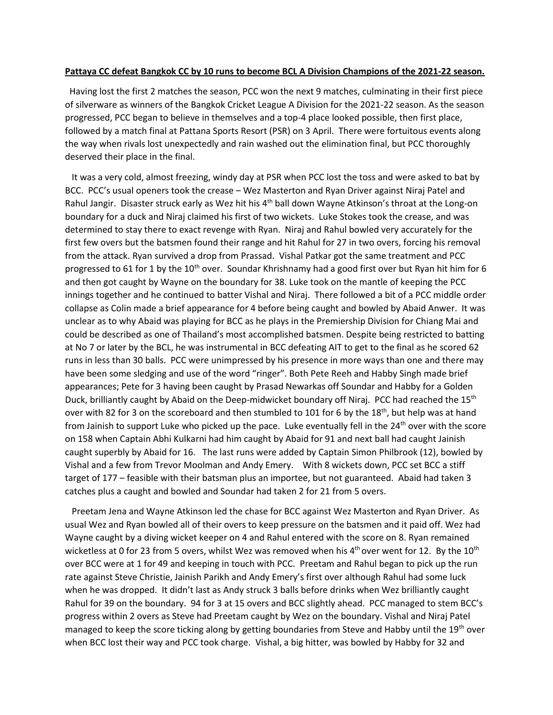## **Pattaya CC defeat Bangkok CC by 10 runs to become BCL A Division Champions of the 2021-22 season.**

 Having lost the first 2 matches the season, PCC won the next 9 matches, culminating in their first piece of silverware as winners of the Bangkok Cricket League A Division for the 2021-22 season. As the season progressed, PCC began to believe in themselves and a top-4 place looked possible, then first place, followed by a match final at Pattana Sports Resort (PSR) on 3 April. There were fortuitous events along the way when rivals lost unexpectedly and rain washed out the elimination final, but PCC thoroughly deserved their place in the final.

 It was a very cold, almost freezing, windy day at PSR when PCC lost the toss and were asked to bat by BCC. PCC's usual openers took the crease – Wez Masterton and Ryan Driver against Niraj Patel and Rahul Jangir. Disaster struck early as Wez hit his 4<sup>th</sup> ball down Wayne Atkinson's throat at the Long-on boundary for a duck and Niraj claimed his first of two wickets. Luke Stokes took the crease, and was determined to stay there to exact revenge with Ryan. Niraj and Rahul bowled very accurately for the first few overs but the batsmen found their range and hit Rahul for 27 in two overs, forcing his removal from the attack. Ryan survived a drop from Prassad. Vishal Patkar got the same treatment and PCC progressed to 61 for 1 by the  $10<sup>th</sup>$  over. Soundar Khrishnamy had a good first over but Ryan hit him for 6 and then got caught by Wayne on the boundary for 38. Luke took on the mantle of keeping the PCC innings together and he continued to batter Vishal and Niraj. There followed a bit of a PCC middle order collapse as Colin made a brief appearance for 4 before being caught and bowled by Abaid Anwer. It was unclear as to why Abaid was playing for BCC as he plays in the Premiership Division for Chiang Mai and could be described as one of Thailand's most accomplished batsmen. Despite being restricted to batting at No 7 or later by the BCL, he was instrumental in BCC defeating AIT to get to the final as he scored 62 runs in less than 30 balls. PCC were unimpressed by his presence in more ways than one and there may have been some sledging and use of the word "ringer". Both Pete Reeh and Habby Singh made brief appearances; Pete for 3 having been caught by Prasad Newarkas off Soundar and Habby for a Golden Duck, brilliantly caught by Abaid on the Deep-midwicket boundary off Niraj. PCC had reached the 15<sup>th</sup> over with 82 for 3 on the scoreboard and then stumbled to 101 for 6 by the 18<sup>th</sup>, but help was at hand from Jainish to support Luke who picked up the pace. Luke eventually fell in the  $24<sup>th</sup>$  over with the score on 158 when Captain Abhi Kulkarni had him caught by Abaid for 91 and next ball had caught Jainish caught superbly by Abaid for 16. The last runs were added by Captain Simon Philbrook (12), bowled by Vishal and a few from Trevor Moolman and Andy Emery. With 8 wickets down, PCC set BCC a stiff target of 177 – feasible with their batsman plus an importee, but not guaranteed. Abaid had taken 3 catches plus a caught and bowled and Soundar had taken 2 for 21 from 5 overs.

 Preetam Jena and Wayne Atkinson led the chase for BCC against Wez Masterton and Ryan Driver. As usual Wez and Ryan bowled all of their overs to keep pressure on the batsmen and it paid off. Wez had Wayne caught by a diving wicket keeper on 4 and Rahul entered with the score on 8. Ryan remained wicketless at 0 for 23 from 5 overs, whilst Wez was removed when his 4<sup>th</sup> over went for 12. By the 10<sup>th</sup> over BCC were at 1 for 49 and keeping in touch with PCC. Preetam and Rahul began to pick up the run rate against Steve Christie, Jainish Parikh and Andy Emery's first over although Rahul had some luck when he was dropped. It didn't last as Andy struck 3 balls before drinks when Wez brilliantly caught Rahul for 39 on the boundary. 94 for 3 at 15 overs and BCC slightly ahead. PCC managed to stem BCC's progress within 2 overs as Steve had Preetam caught by Wez on the boundary. Vishal and Niraj Patel managed to keep the score ticking along by getting boundaries from Steve and Habby until the 19th over when BCC lost their way and PCC took charge. Vishal, a big hitter, was bowled by Habby for 32 and